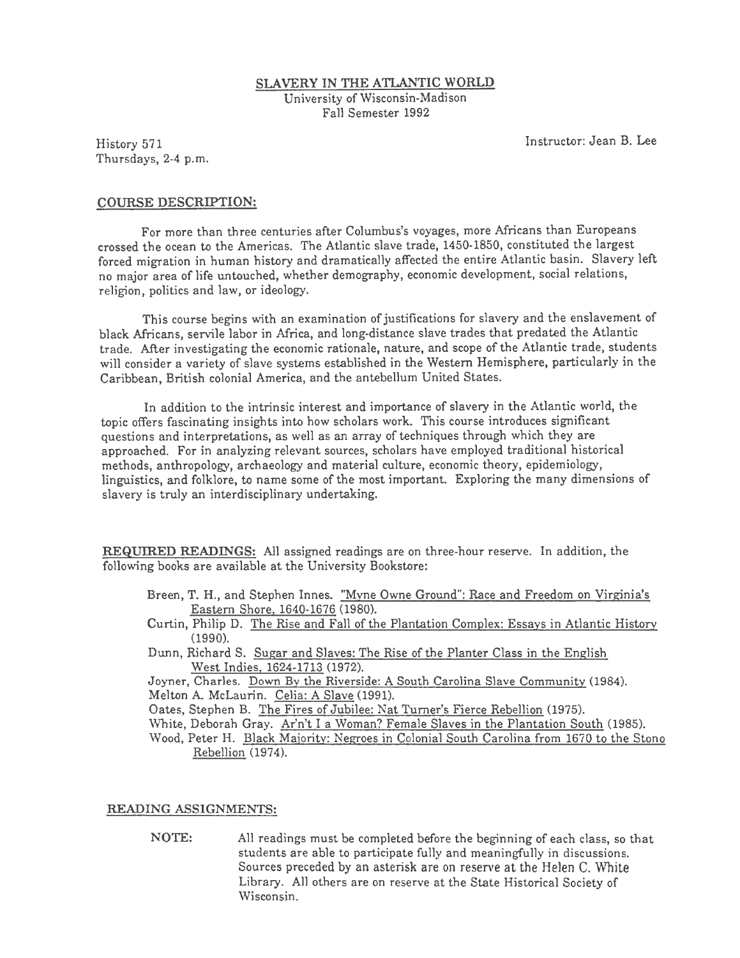#### SLAVERY IN THE ATLANTIC WORLD University of Wisconsin-Madison Fall Semester 1992

History 571 Thursdays, 2-4 p.m. Instructor: Jean B. Lee

## COURSE DESCRIPTION:

For more than three centuries after Columbus's voyages, more Africans than Europeans crossed the ocean to the Americas. The Atlantic slave trade, 1450-1850, constituted the largest forced migration in human history and dramatically affected the entire Atlantic basin. Slavery left no major area oflife untouched, whether demography, economic development, social relations, religion, politics and law, or ideology.

This course begins with an examination of justifications for slavery and the enslavement of black Africans, servile labor in Africa, and long-distance slave trades that predated the Atlantic trade. After investigating the economic rationale, nature, and scope of the Atlantic trade, students will consider a variety of slave systems established in the Western Hemisphere, particularly in the Caribbean, British colonial America, and the antebellum United States.

In addition to the intrinsic interest and importance of slavery in the Atlantic world, the topic offers fascinating insights into how scholars work. This course introduces significant questions and interpretations, as well as an array of techniques through which they are approached. For in analyzing relevant sources, scholars have employed traditional historical methods, anthropology, archaeology and material culture, economic theory, epidemiology, linguistics, and folklore, to name some of the most important. Exploring the many dimensions of slavery is truly an interdisciplinary undertaking.

REQUIRED READINGS: All assigned readings are on three-hour reserve. In addition, the following books are available at the University Bookstore:

- Breen, T. H., and Stephen Innes. "Myne Owne Ground": Race and Freedom on Virginia's Eastern Shore. 1640-1676 (1980).
- Curtin, Philip D. The Rise and Fall of the Plantation Complex: Essays in Atlantic History (1990).
- Dunn, Richard S. Sugar and Slaves: The Rise of the Planter Class in the English West Indies. 1624-1713 (1972).

Joyner, Charles. Down By the Riverside: A South Carolina Slave Community (1984). Melton A. McLaurin. Celia: A Slave (1991).

Oates, Stephen B. The Fires of Jubilee: Nat Turner's Fierce Rebellion (1975).

- White, Deborah Gray. Ar'n't I a Woman? Female Slaves in the Plantation South (1985).
- Wood, Peter H. Black Majority: Negroes in Colonial South Carolina from 1670 to the Stono Rebellion (1974).

## READING ASSIGNMENTS:

NOTE: All readings must be completed before the beginning of each class, so that students are able to participate fully and meaningfully in discussions. Sources preceded by an asterisk are on reserve at the Helen C. White Library. All others are on reserve at the State Historical Society of Wisconsin.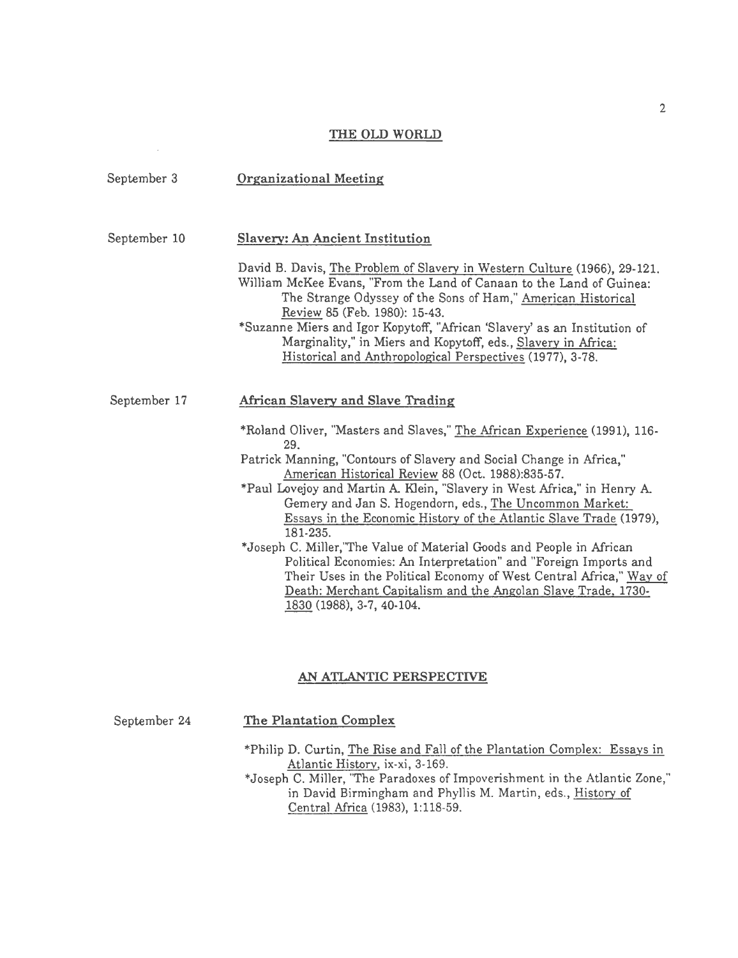## THE OLD WORLD

| September 3  | <b>Organizational Meeting</b>                                                                                                                                                                                                                                                                                  |
|--------------|----------------------------------------------------------------------------------------------------------------------------------------------------------------------------------------------------------------------------------------------------------------------------------------------------------------|
| September 10 | Slavery: An Ancient Institution                                                                                                                                                                                                                                                                                |
|              | David B. Davis, The Problem of Slavery in Western Culture (1966), 29-121.<br>William McKee Evans, "From the Land of Canaan to the Land of Guinea:<br>The Strange Odyssey of the Sons of Ham," American Historical<br>Review 85 (Feb. 1980): 15-43.                                                             |
|              | *Suzanne Miers and Igor Kopytoff, "African 'Slavery' as an Institution of<br>Marginality," in Miers and Kopytoff, eds., Slavery in Africa:<br>Historical and Anthropological Perspectives (1977), 3-78.                                                                                                        |
| September 17 | African Slavery and Slave Trading                                                                                                                                                                                                                                                                              |
|              | *Roland Oliver, "Masters and Slaves," The African Experience (1991), 116-<br>29.                                                                                                                                                                                                                               |
|              | Patrick Manning, "Contours of Slavery and Social Change in Africa,"<br>American Historical Review 88 (Oct. 1988):835-57.                                                                                                                                                                                       |
|              | *Paul Lovejoy and Martin A. Klein, "Slavery in West Africa," in Henry A.<br>Gemery and Jan S. Hogendorn, eds., The Uncommon Market:<br>Essays in the Economic History of the Atlantic Slave Trade (1979),<br>181-235.                                                                                          |
|              | *Joseph C. Miller, "The Value of Material Goods and People in African<br>Political Economies: An Interpretation" and "Foreign Imports and<br>Their Uses in the Political Economy of West Central Africa," Way of<br>Death: Merchant Capitalism and the Angolan Slave Trade, 1730-<br>1830 (1988), 3-7, 40-104. |

# AN ATLANTIC PERSPECTNE

September 24

 $\cdot$ 

The Plantation Complex

\*Philip D. Curtin, The Rise and Fall of the Plantation Complex: Essays in Atlantic Historv, ix-xi, 3-169.

\*Joseph C. Miller, "The Paradoxes of Impoverishment in the Atlantic Zone," in David Birmingham and Phyllis M. Martin, eds., History of Central Africa (1983), 1:118-59.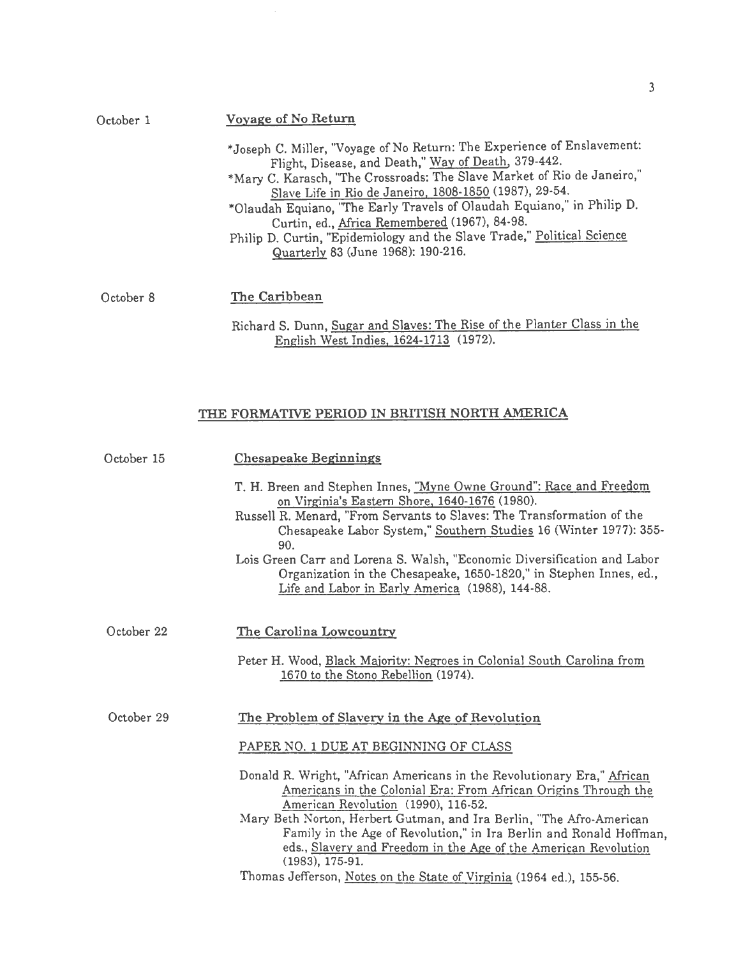| October 1 | Voyage of No Return                                                                                                                                                                                                                                                                                                                                                                                                                                                                                             |
|-----------|-----------------------------------------------------------------------------------------------------------------------------------------------------------------------------------------------------------------------------------------------------------------------------------------------------------------------------------------------------------------------------------------------------------------------------------------------------------------------------------------------------------------|
|           | *Joseph C. Miller, "Voyage of No Return: The Experience of Enslavement:<br>Flight, Disease, and Death," Way of Death, 379-442.<br>*Mary C. Karasch, "The Crossroads: The Slave Market of Rio de Janeiro,"<br>Slave Life in Rio de Janeiro, 1808-1850 (1987), 29-54.<br>*Olaudah Equiano, "The Early Travels of Olaudah Equiano," in Philip D.<br>Curtin, ed., Africa Remembered (1967), 84-98.<br>Philip D. Curtin, "Epidemiology and the Slave Trade," Political Science<br>Quarterly 83 (June 1968): 190-216. |
| October 8 | The Caribbean                                                                                                                                                                                                                                                                                                                                                                                                                                                                                                   |

 $\bar{z}$ 

Richard S. Dunn, Sugar and Slaves: The Rise of the Planter Class in the English West Indies, 1624-1713 (1972).

## THE FORMATIVE PERIOD IN BRITISH NORTH AMERICA

| October 15 | <b>Chesapeake Beginnings</b>                                                                                                                                                                                                                                                                                                                                                                                                                                                     |
|------------|----------------------------------------------------------------------------------------------------------------------------------------------------------------------------------------------------------------------------------------------------------------------------------------------------------------------------------------------------------------------------------------------------------------------------------------------------------------------------------|
|            | T. H. Breen and Stephen Innes, "Myne Owne Ground": Race and Freedom<br>on Virginia's Eastern Shore, 1640-1676 (1980).<br>Russell R. Menard, "From Servants to Slaves: The Transformation of the<br>Chesapeake Labor System," Southern Studies 16 (Winter 1977): 355-<br>90.<br>Lois Green Carr and Lorena S. Walsh, "Economic Diversification and Labor<br>Organization in the Chesapeake, 1650-1820," in Stephen Innes, ed.,<br>Life and Labor in Early America (1988), 144-88. |
| October 22 | The Carolina Lowcountry<br>Peter H. Wood, Black Majority: Negroes in Colonial South Carolina from<br>1670 to the Stono Rebellion (1974).                                                                                                                                                                                                                                                                                                                                         |
| October 29 | The Problem of Slavery in the Age of Revolution<br>PAPER NO. 1 DUE AT BEGINNING OF CLASS<br>Donald R. Wright, "African Americans in the Revolutionary Era," African<br>Americans in the Colonial Era: From African Origins Through the                                                                                                                                                                                                                                           |
|            | American Revolution (1990), 116-52.<br>Mary Beth Norton, Herbert Gutman, and Ira Berlin, "The Afro-American<br>Family in the Age of Revolution," in Ira Berlin and Ronald Hoffman,<br>eds., Slavery and Freedom in the Age of the American Revolution<br>$(1983), 175-91.$<br>Thomas Jefferson, Notes on the State of Virginia (1964 ed.), 155-56.                                                                                                                               |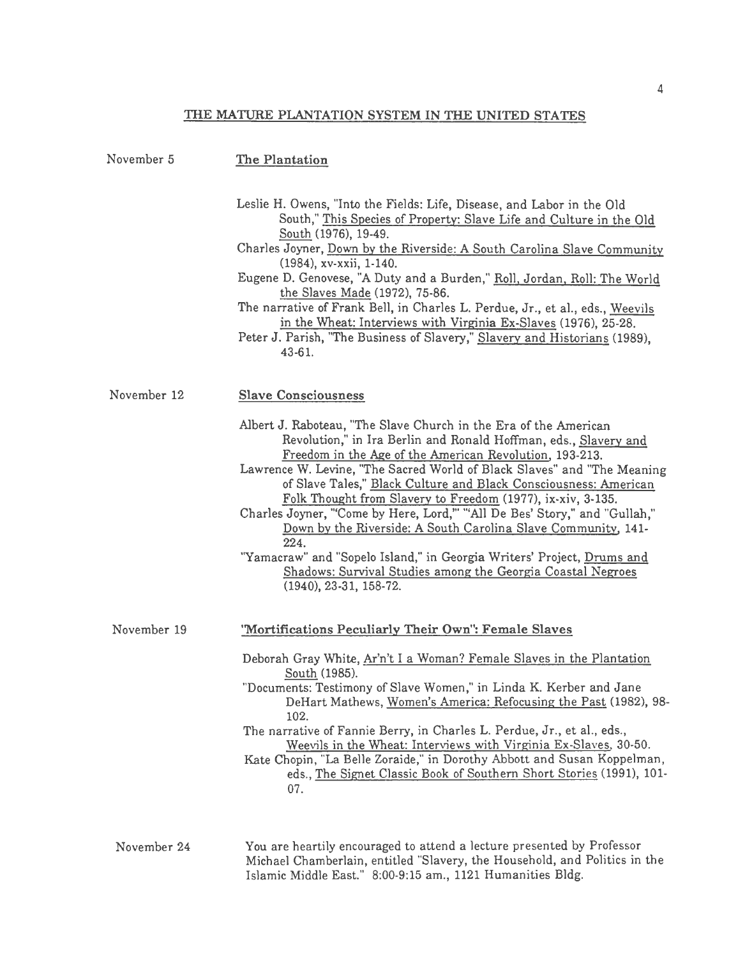# THE MATURE PLANTATION SYSTEM IN THE UNITED STATES

| November 5  | The Plantation                                                                                                                                                                                                                                                                                                                                                                                                                                                                                                                                                                                                                                                                                                                                 |
|-------------|------------------------------------------------------------------------------------------------------------------------------------------------------------------------------------------------------------------------------------------------------------------------------------------------------------------------------------------------------------------------------------------------------------------------------------------------------------------------------------------------------------------------------------------------------------------------------------------------------------------------------------------------------------------------------------------------------------------------------------------------|
|             | Leslie H. Owens, "Into the Fields: Life, Disease, and Labor in the Old<br>South," This Species of Property: Slave Life and Culture in the Old<br>South (1976), 19-49.<br>Charles Joyner, Down by the Riverside: A South Carolina Slave Community<br>(1984), xv-xxii, 1-140.<br>Eugene D. Genovese, "A Duty and a Burden," Roll, Jordan, Roll: The World<br>the Slaves Made (1972), 75-86.<br>The narrative of Frank Bell, in Charles L. Perdue, Jr., et al., eds., Weevils<br>in the Wheat: Interviews with Virginia Ex-Slaves (1976), 25-28.<br>Peter J. Parish, "The Business of Slavery," Slavery and Historians (1989),<br>43-61.                                                                                                          |
| November 12 | <b>Slave Consciousness</b>                                                                                                                                                                                                                                                                                                                                                                                                                                                                                                                                                                                                                                                                                                                     |
|             | Albert J. Raboteau, "The Slave Church in the Era of the American<br>Revolution," in Ira Berlin and Ronald Hoffman, eds., Slavery and<br>Freedom in the Age of the American Revolution, 193-213.<br>Lawrence W. Levine, "The Sacred World of Black Slaves" and "The Meaning<br>of Slave Tales," Black Culture and Black Consciousness: American<br>Folk Thought from Slavery to Freedom (1977), ix-xiv, 3-135.<br>Charles Joyner, "Come by Here, Lord," "All De Bes' Story," and "Gullah,"<br>Down by the Riverside: A South Carolina Slave Community, 141-<br>224.<br>"Yamacraw" and "Sopelo Island," in Georgia Writers' Project, <u>Drums and</u><br>Shadows: Survival Studies among the Georgia Coastal Negroes<br>$(1940), 23-31, 158-72.$ |
| November 19 | 'Mortifications Peculiarly Their Own": Female Slaves                                                                                                                                                                                                                                                                                                                                                                                                                                                                                                                                                                                                                                                                                           |
|             | Deborah Gray White, Ar'n't I a Woman? Female Slaves in the Plantation<br>South (1985).<br>"Documents: Testimony of Slave Women," in Linda K. Kerber and Jane<br>DeHart Mathews, Women's America: Refocusing the Past (1982), 98-<br>102.<br>The narrative of Fannie Berry, in Charles L. Perdue, Jr., et al., eds.,<br>Weevils in the Wheat: Interviews with Virginia Ex-Slaves, 30-50.<br>Kate Chopin, "La Belle Zoraide," in Dorothy Abbott and Susan Koppelman,<br>eds., The Signet Classic Book of Southern Short Stories (1991), 101-<br>07.                                                                                                                                                                                              |
|             | $\ddotsc$                                                                                                                                                                                                                                                                                                                                                                                                                                                                                                                                                                                                                                                                                                                                      |

November 24 You are heartily encouraged to attend a lecture presented by Professor Michael Chamberlain, entitled "Slavery, the Household, and Politics in the Islamic Middle East." 8:00-9:15 am., 1121 Humanities Bldg.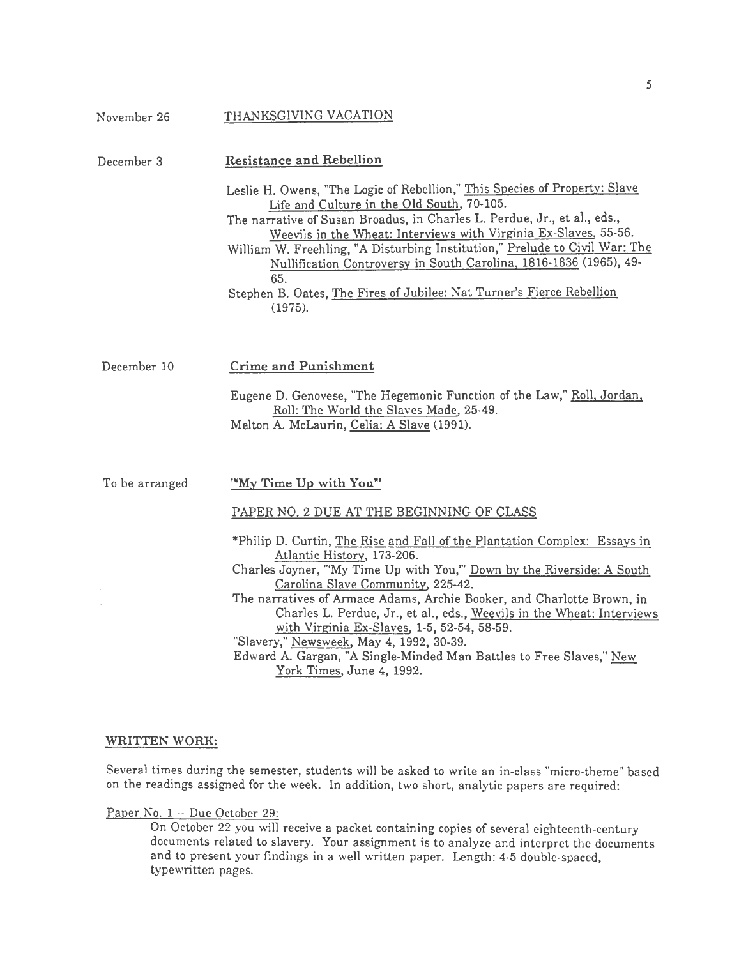| November 26    | THANKSGIVING VACATION                                                                                                                                                                                                                                                                                                                                                                                                                                                                                                                                                                                                                          |
|----------------|------------------------------------------------------------------------------------------------------------------------------------------------------------------------------------------------------------------------------------------------------------------------------------------------------------------------------------------------------------------------------------------------------------------------------------------------------------------------------------------------------------------------------------------------------------------------------------------------------------------------------------------------|
| December 3     | <b>Resistance and Rebellion</b><br>Leslie H. Owens, "The Logic of Rebellion," This Species of Property: Slave<br>Life and Culture in the Old South, 70-105.<br>The narrative of Susan Broadus, in Charles L. Perdue, Jr., et al., eds.,<br>Weevils in the Wheat: Interviews with Virginia Ex-Slaves, 55-56.<br>William W. Freehling, "A Disturbing Institution," Prelude to Civil War: The<br>Nullification Controversy in South Carolina, 1816-1836 (1965), 49-<br>65.<br>Stephen B. Oates, The Fires of Jubilee: Nat Turner's Fierce Rebellion<br>(1975).                                                                                    |
| December 10    | Crime and Punishment<br>Eugene D. Genovese, "The Hegemonic Function of the Law," Roll, Jordan,<br>Roll: The World the Slaves Made, 25-49.<br>Melton A. McLaurin, Celia: A Slave (1991).                                                                                                                                                                                                                                                                                                                                                                                                                                                        |
| To be arranged | "My Time Up with You"<br>PAPER NO. 2 DUE AT THE BEGINNING OF CLASS<br>*Philip D. Curtin, The Rise and Fall of the Plantation Complex: Essays in<br>Atlantic History, 173-206.<br>Charles Joyner, "My Time Up with You," Down by the Riverside: A South<br>Carolina Slave Community, 225-42.<br>The narratives of Armace Adams, Archie Booker, and Charlotte Brown, in<br>Charles L. Perdue, Jr., et al., eds., Weevils in the Wheat: Interviews<br>with Virginia Ex-Slaves, 1-5, 52-54, 58-59.<br>"Slavery," Newsweek, May 4, 1992, 30-39.<br>Edward A. Gargan, "A Single-Minded Man Battles to Free Slaves," New<br>York Times, June 4, 1992. |

## WRITTEN WORK:

Several times during the semester, students will be asked to write an in-class "micro-theme" based on the readings assigned for the week. In addition, two short, analytic papers are required:

Paper No. 1 -- Due October 29:

On October 22 you will receive a packet containing copies of several eighteenth-century documents related to slavery. Your assignment is to analyze and interpret the documents and to present your findings in a well written paper. Length: 4-5 double-spaced, typewritten pages.